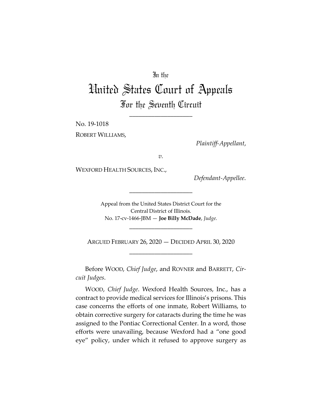## In the

## United States Court of Appeals For the Seventh Circuit

\_\_\_\_\_\_\_\_\_\_\_\_\_\_\_\_\_\_\_\_

No. 19-1018 ROBERT WILLIAMS,

*Plaintiff-Appellant*,

*v.*

WEXFORD HEALTH SOURCES, INC.,

*Defendant-Appellee*.

Appeal from the United States District Court for the Central District of Illinois. No. 17-cv-1466-JBM — **Joe Billy McDade**, *Judge*.

\_\_\_\_\_\_\_\_\_\_\_\_\_\_\_\_\_\_\_\_

\_\_\_\_\_\_\_\_\_\_\_\_\_\_\_\_\_\_\_\_

ARGUED FEBRUARY 26, 2020 — DECIDED APRIL 30, 2020 \_\_\_\_\_\_\_\_\_\_\_\_\_\_\_\_\_\_\_\_

Before WOOD, *Chief Judge*, and ROVNER and BARRETT, *Circuit Judges*.

WOOD, *Chief Judge*. Wexford Health Sources, Inc., has a contract to provide medical services for Illinois's prisons. This case concerns the efforts of one inmate, Robert Williams, to obtain corrective surgery for cataracts during the time he was assigned to the Pontiac Correctional Center. In a word, those efforts were unavailing, because Wexford had a "one good eye" policy, under which it refused to approve surgery as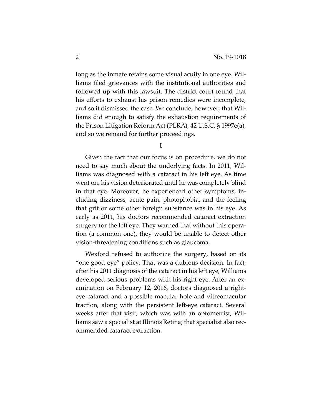long as the inmate retains some visual acuity in one eye. Williams filed grievances with the institutional authorities and followed up with this lawsuit. The district court found that his efforts to exhaust his prison remedies were incomplete, and so it dismissed the case. We conclude, however, that Williams did enough to satisfy the exhaustion requirements of the Prison Litigation Reform Act (PLRA), 42 U.S.C. § 1997e(a), and so we remand for further proceedings.

**I**

Given the fact that our focus is on procedure, we do not need to say much about the underlying facts. In 2011, Williams was diagnosed with a cataract in his left eye. As time went on, his vision deteriorated until he was completely blind in that eye. Moreover, he experienced other symptoms, including dizziness, acute pain, photophobia, and the feeling that grit or some other foreign substance was in his eye. As early as 2011, his doctors recommended cataract extraction surgery for the left eye. They warned that without this operation (a common one), they would be unable to detect other vision-threatening conditions such as glaucoma.

Wexford refused to authorize the surgery, based on its "one good eye" policy. That was a dubious decision. In fact, after his 2011 diagnosis of the cataract in his left eye, Williams developed serious problems with his right eye. After an examination on February 12, 2016, doctors diagnosed a righteye cataract and a possible macular hole and vitreomacular traction, along with the persistent left-eye cataract. Several weeks after that visit, which was with an optometrist, Williams saw a specialist at Illinois Retina; that specialist also recommended cataract extraction.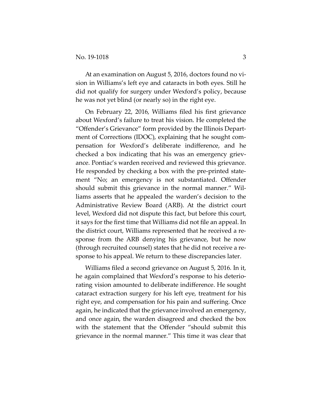At an examination on August 5, 2016, doctors found no vision in Williams's left eye and cataracts in both eyes. Still he did not qualify for surgery under Wexford's policy, because he was not yet blind (or nearly so) in the right eye.

On February 22, 2016, Williams filed his first grievance about Wexford's failure to treat his vision. He completed the "Offender's Grievance" form provided by the Illinois Department of Corrections (IDOC), explaining that he sought compensation for Wexford's deliberate indifference, and he checked a box indicating that his was an emergency grievance. Pontiac's warden received and reviewed this grievance. He responded by checking a box with the pre-printed statement "No; an emergency is not substantiated. Offender should submit this grievance in the normal manner." Williams asserts that he appealed the warden's decision to the Administrative Review Board (ARB). At the district court level, Wexford did not dispute this fact, but before this court, it says for the first time that Williams did not file an appeal. In the district court, Williams represented that he received a response from the ARB denying his grievance, but he now (through recruited counsel) states that he did not receive a response to his appeal. We return to these discrepancies later.

Williams filed a second grievance on August 5, 2016. In it, he again complained that Wexford's response to his deteriorating vision amounted to deliberate indifference. He sought cataract extraction surgery for his left eye, treatment for his right eye, and compensation for his pain and suffering. Once again, he indicated that the grievance involved an emergency, and once again, the warden disagreed and checked the box with the statement that the Offender "should submit this grievance in the normal manner." This time it was clear that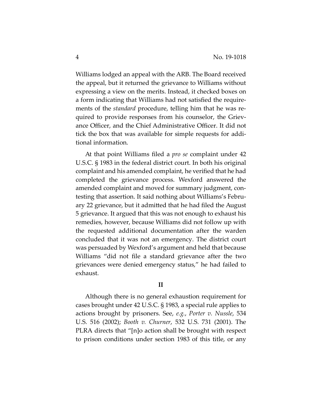Williams lodged an appeal with the ARB. The Board received the appeal, but it returned the grievance to Williams without expressing a view on the merits. Instead, it checked boxes on a form indicating that Williams had not satisfied the requirements of the *standard* procedure, telling him that he was required to provide responses from his counselor, the Grievance Officer, and the Chief Administrative Officer. It did not tick the box that was available for simple requests for additional information.

At that point Williams filed a *pro se* complaint under 42 U.S.C. § 1983 in the federal district court. In both his original complaint and his amended complaint, he verified that he had completed the grievance process. Wexford answered the amended complaint and moved for summary judgment, contesting that assertion. It said nothing about Williams's February 22 grievance, but it admitted that he had filed the August 5 grievance. It argued that this was not enough to exhaust his remedies, however, because Williams did not follow up with the requested additional documentation after the warden concluded that it was not an emergency. The district court was persuaded by Wexford's argument and held that because Williams "did not file a standard grievance after the two grievances were denied emergency status," he had failed to exhaust.

## **II**

Although there is no general exhaustion requirement for cases brought under 42 U.S.C. § 1983, a special rule applies to actions brought by prisoners. See, *e.g.*, *Porter v. Nussle*, 534 U.S. 516 (2002); *Booth v. Churner*, 532 U.S. 731 (2001). The PLRA directs that "[n]o action shall be brought with respect to prison conditions under section 1983 of this title, or any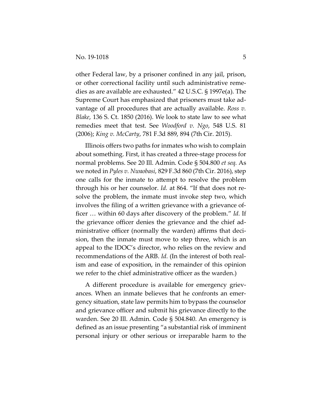other Federal law, by a prisoner confined in any jail, prison, or other correctional facility until such administrative remedies as are available are exhausted." 42 U.S.C. § 1997e(a). The Supreme Court has emphasized that prisoners must take advantage of all procedures that are actually available. *Ross v. Blake*, 136 S. Ct. 1850 (2016). We look to state law to see what remedies meet that test. See *Woodford v. Ngo*, 548 U.S. 81 (2006); *King v. McCarty*, 781 F.3d 889, 894 (7th Cir. 2015).

Illinois offers two paths for inmates who wish to complain about something. First, it has created a three-stage process for normal problems. See 20 Ill. Admin. Code § 504.800 *et seq.* As we noted in *Pyles v. Nwaobasi*, 829 F.3d 860 (7th Cir. 2016), step one calls for the inmate to attempt to resolve the problem through his or her counselor. *Id.* at 864. "If that does not resolve the problem, the inmate must invoke step two, which involves the filing of a written grievance with a grievance officer … within 60 days after discovery of the problem." *Id.* If the grievance officer denies the grievance and the chief administrative officer (normally the warden) affirms that decision, then the inmate must move to step three, which is an appeal to the IDOC's director, who relies on the review and recommendations of the ARB. *Id.* (In the interest of both realism and ease of exposition, in the remainder of this opinion we refer to the chief administrative officer as the warden.)

A different procedure is available for emergency grievances. When an inmate believes that he confronts an emergency situation, state law permits him to bypass the counselor and grievance officer and submit his grievance directly to the warden. See 20 Ill. Admin. Code § 504.840. An emergency is defined as an issue presenting "a substantial risk of imminent personal injury or other serious or irreparable harm to the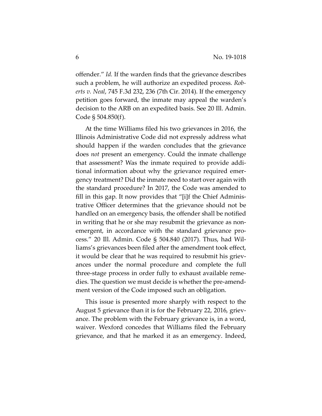offender." *Id.* If the warden finds that the grievance describes such a problem, he will authorize an expedited process. *Roberts v. Neal*, 745 F.3d 232, 236 (7th Cir. 2014). If the emergency petition goes forward, the inmate may appeal the warden's decision to the ARB on an expedited basis. See 20 Ill. Admin. Code § 504.850(f).

At the time Williams filed his two grievances in 2016, the Illinois Administrative Code did not expressly address what should happen if the warden concludes that the grievance does *not* present an emergency. Could the inmate challenge that assessment? Was the inmate required to provide additional information about why the grievance required emergency treatment? Did the inmate need to start over again with the standard procedure? In 2017, the Code was amended to fill in this gap. It now provides that "[i]f the Chief Administrative Officer determines that the grievance should not be handled on an emergency basis, the offender shall be notified in writing that he or she may resubmit the grievance as nonemergent, in accordance with the standard grievance process." 20 Ill. Admin. Code § 504.840 (2017). Thus, had Williams's grievances been filed after the amendment took effect, it would be clear that he was required to resubmit his grievances under the normal procedure and complete the full three-stage process in order fully to exhaust available remedies. The question we must decide is whether the pre-amendment version of the Code imposed such an obligation.

This issue is presented more sharply with respect to the August 5 grievance than it is for the February 22, 2016, grievance. The problem with the February grievance is, in a word, waiver. Wexford concedes that Williams filed the February grievance, and that he marked it as an emergency. Indeed,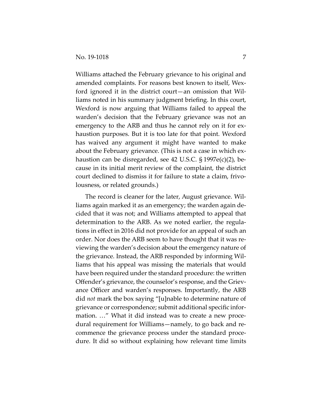Williams attached the February grievance to his original and amended complaints. For reasons best known to itself, Wexford ignored it in the district court—an omission that Williams noted in his summary judgment briefing. In this court, Wexford is now arguing that Williams failed to appeal the warden's decision that the February grievance was not an emergency to the ARB and thus he cannot rely on it for exhaustion purposes. But it is too late for that point. Wexford has waived any argument it might have wanted to make about the February grievance. (This is not a case in which exhaustion can be disregarded, see 42 U.S.C. § 1997e(c)(2), because in its initial merit review of the complaint, the district court declined to dismiss it for failure to state a claim, frivolousness, or related grounds.)

The record is cleaner for the later, August grievance. Williams again marked it as an emergency; the warden again decided that it was not; and Williams attempted to appeal that determination to the ARB. As we noted earlier, the regulations in effect in 2016 did not provide for an appeal of such an order. Nor does the ARB seem to have thought that it was reviewing the warden's decision about the emergency nature of the grievance. Instead, the ARB responded by informing Williams that his appeal was missing the materials that would have been required under the standard procedure: the written Offender's grievance, the counselor's response, and the Grievance Officer and warden's responses. Importantly, the ARB did *not* mark the box saying "[u]nable to determine nature of grievance or correspondence; submit additional specific information. …" What it did instead was to create a new procedural requirement for Williams—namely, to go back and recommence the grievance process under the standard procedure. It did so without explaining how relevant time limits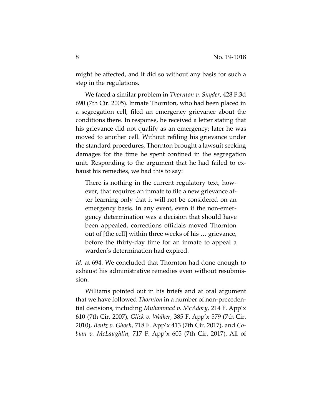might be affected, and it did so without any basis for such a step in the regulations.

We faced a similar problem in *Thornton v. Snyder*, 428 F.3d 690 (7th Cir. 2005). Inmate Thornton, who had been placed in a segregation cell, filed an emergency grievance about the conditions there. In response, he received a letter stating that his grievance did not qualify as an emergency; later he was moved to another cell. Without refiling his grievance under the standard procedures, Thornton brought a lawsuit seeking damages for the time he spent confined in the segregation unit. Responding to the argument that he had failed to exhaust his remedies, we had this to say:

There is nothing in the current regulatory text, however, that requires an inmate to file a new grievance after learning only that it will not be considered on an emergency basis. In any event, even if the non-emergency determination was a decision that should have been appealed, corrections officials moved Thornton out of [the cell] within three weeks of his … grievance, before the thirty-day time for an inmate to appeal a warden's determination had expired.

Id. at 694. We concluded that Thornton had done enough to exhaust his administrative remedies even without resubmission.

Williams pointed out in his briefs and at oral argument that we have followed *Thornton* in a number of non-precedential decisions, including *Muhammad v. McAdory*, 214 F. App'x 610 (7th Cir. 2007), *Glick v. Walker*, 385 F. App'x 579 (7th Cir. 2010), *Bentz v. Ghosh*, 718 F. App'x 413 (7th Cir. 2017), and *Cobian v. McLaughlin*, 717 F. App'x 605 (7th Cir. 2017). All of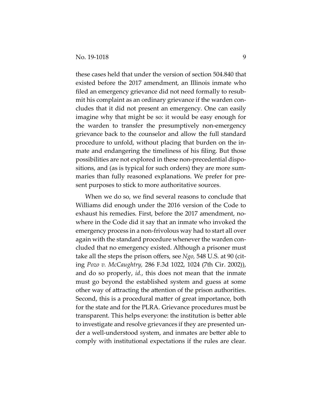these cases held that under the version of section 504.840 that existed before the 2017 amendment, an Illinois inmate who filed an emergency grievance did not need formally to resubmit his complaint as an ordinary grievance if the warden concludes that it did not present an emergency. One can easily imagine why that might be so: it would be easy enough for the warden to transfer the presumptively non-emergency grievance back to the counselor and allow the full standard procedure to unfold, without placing that burden on the inmate and endangering the timeliness of his filing. But those possibilities are not explored in these non-precedential dispositions, and (as is typical for such orders) they are more summaries than fully reasoned explanations. We prefer for present purposes to stick to more authoritative sources.

When we do so, we find several reasons to conclude that Williams did enough under the 2016 version of the Code to exhaust his remedies. First, before the 2017 amendment, nowhere in the Code did it say that an inmate who invoked the emergency process in a non-frivolous way had to start all over again with the standard procedure whenever the warden concluded that no emergency existed. Although a prisoner must take all the steps the prison offers, see *Ngo,* 548 U.S. at 90 (citing *Pozo v. McCaughtry,* 286 F.3d 1022, 1024 (7th Cir. 2002)), and do so properly, *id.*, this does not mean that the inmate must go beyond the established system and guess at some other way of attracting the attention of the prison authorities. Second, this is a procedural matter of great importance, both for the state and for the PLRA. Grievance procedures must be transparent. This helps everyone: the institution is better able to investigate and resolve grievances if they are presented under a well-understood system, and inmates are better able to comply with institutional expectations if the rules are clear.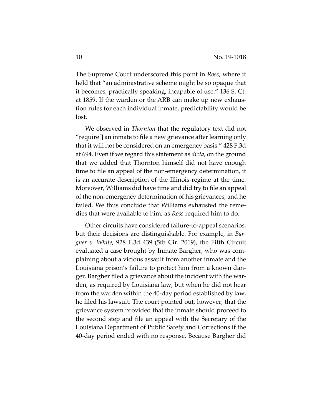The Supreme Court underscored this point in *Ross*, where it held that "an administrative scheme might be so opaque that it becomes, practically speaking, incapable of use." 136 S. Ct. at 1859. If the warden or the ARB can make up new exhaustion rules for each individual inmate, predictability would be lost.

We observed in *Thornton* that the regulatory text did not "require[] an inmate to file a new grievance after learning only that it will not be considered on an emergency basis." 428 F.3d at 694. Even if we regard this statement as *dicta*, on the ground that we added that Thornton himself did not have enough time to file an appeal of the non-emergency determination, it is an accurate description of the Illinois regime at the time. Moreover, Williams did have time and did try to file an appeal of the non-emergency determination of his grievances, and he failed. We thus conclude that Williams exhausted the remedies that were available to him, as *Ross* required him to do.

Other circuits have considered failure-to-appeal scenarios, but their decisions are distinguishable. For example, in *Bargher v. White*, 928 F.3d 439 (5th Cir. 2019), the Fifth Circuit evaluated a case brought by Inmate Bargher, who was complaining about a vicious assault from another inmate and the Louisiana prison's failure to protect him from a known danger. Bargher filed a grievance about the incident with the warden, as required by Louisiana law, but when he did not hear from the warden within the 40-day period established by law, he filed his lawsuit. The court pointed out, however, that the grievance system provided that the inmate should proceed to the second step and file an appeal with the Secretary of the Louisiana Department of Public Safety and Corrections if the 40-day period ended with no response. Because Bargher did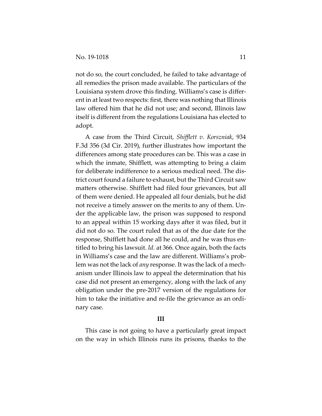not do so, the court concluded, he failed to take advantage of all remedies the prison made available. The particulars of the Louisiana system drove this finding. Williams's case is different in at least two respects: first, there was nothing that Illinois law offered him that he did not use; and second, Illinois law itself is different from the regulations Louisiana has elected to adopt.

A case from the Third Circuit, *Shifflett v. Korszniak*, 934 F.3d 356 (3d Cir. 2019), further illustrates how important the differences among state procedures can be. This was a case in which the inmate, Shifflett, was attempting to bring a claim for deliberate indifference to a serious medical need. The district court found a failure to exhaust, but the Third Circuit saw matters otherwise. Shifflett had filed four grievances, but all of them were denied. He appealed all four denials, but he did not receive a timely answer on the merits to any of them. Under the applicable law, the prison was supposed to respond to an appeal within 15 working days after it was filed, but it did not do so. The court ruled that as of the due date for the response, Shifflett had done all he could, and he was thus entitled to bring his lawsuit. *Id.* at 366. Once again, both the facts in Williams's case and the law are different. Williams's problem was not the lack of *any* response. It was the lack of a mechanism under Illinois law to appeal the determination that his case did not present an emergency, along with the lack of any obligation under the pre-2017 version of the regulations for him to take the initiative and re-file the grievance as an ordinary case.

## **III**

This case is not going to have a particularly great impact on the way in which Illinois runs its prisons, thanks to the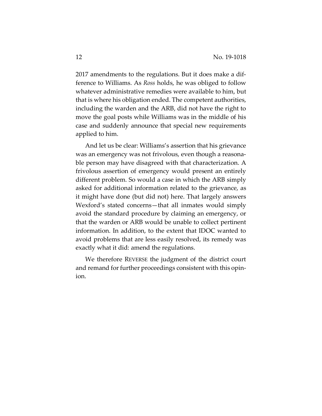2017 amendments to the regulations. But it does make a difference to Williams. As *Ross* holds, he was obliged to follow whatever administrative remedies were available to him, but that is where his obligation ended. The competent authorities, including the warden and the ARB, did not have the right to move the goal posts while Williams was in the middle of his case and suddenly announce that special new requirements applied to him.

And let us be clear: Williams's assertion that his grievance was an emergency was not frivolous, even though a reasonable person may have disagreed with that characterization. A frivolous assertion of emergency would present an entirely different problem. So would a case in which the ARB simply asked for additional information related to the grievance, as it might have done (but did not) here. That largely answers Wexford's stated concerns—that all inmates would simply avoid the standard procedure by claiming an emergency, or that the warden or ARB would be unable to collect pertinent information. In addition, to the extent that IDOC wanted to avoid problems that are less easily resolved, its remedy was exactly what it did: amend the regulations.

We therefore REVERSE the judgment of the district court and remand for further proceedings consistent with this opinion.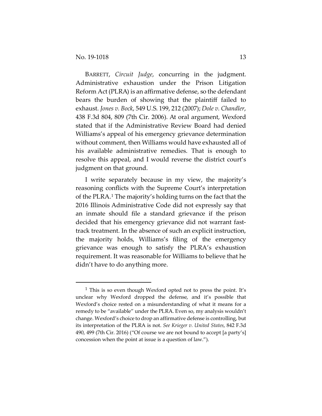BARRETT, *Circuit Judge*, concurring in the judgment. Administrative exhaustion under the Prison Litigation Reform Act (PLRA) is an affirmative defense, so the defendant bears the burden of showing that the plaintiff failed to exhaust. *Jones v. Bock*, 549 U.S. 199, 212 (2007); *Dole v. Chandler*, 438 F.3d 804, 809 (7th Cir. 2006). At oral argument, Wexford stated that if the Administrative Review Board had denied Williams's appeal of his emergency grievance determination without comment, then Williams would have exhausted all of his available administrative remedies. That is enough to resolve this appeal, and I would reverse the district court's judgment on that ground.

I write separately because in my view, the majority's reasoning conflicts with the Supreme Court's interpretation of the PLRA.[1](#page-12-0) The majority's holding turns on the fact that the 2016 Illinois Administrative Code did not expressly say that an inmate should file a standard grievance if the prison decided that his emergency grievance did not warrant fasttrack treatment. In the absence of such an explicit instruction, the majority holds, Williams's filing of the emergency grievance was enough to satisfy the PLRA's exhaustion requirement. It was reasonable for Williams to believe that he didn't have to do anything more.

<span id="page-12-0"></span><sup>&</sup>lt;sup>1</sup> This is so even though Wexford opted not to press the point. It's unclear why Wexford dropped the defense, and it's possible that Wexford's choice rested on a misunderstanding of what it means for a remedy to be "available" under the PLRA. Even so, my analysis wouldn't change. Wexford's choice to drop an affirmative defense is controlling, but its interpretation of the PLRA is not. *See Krieger v. United States*, 842 F.3d 490, 499 (7th Cir. 2016) ("Of course we are not bound to accept [a party's] concession when the point at issue is a question of law.").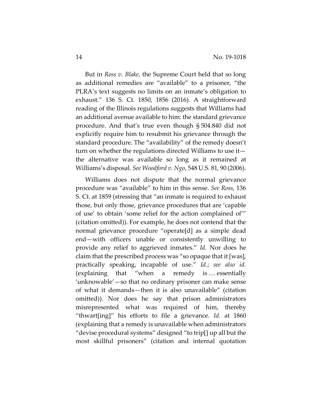But in *Ross v. Blake*, the Supreme Court held that so long as additional remedies are "available" to a prisoner, "the PLRA's text suggests no limits on an inmate's obligation to exhaust." 136 S. Ct. 1850, 1856 (2016). A straightforward reading of the Illinois regulations suggests that Williams had an additional avenue available to him: the standard grievance procedure. And that's true even though § 504.840 did not explicitly require him to resubmit his grievance through the standard procedure. The "availability" of the remedy doesn't turn on whether the regulations directed Williams to use it the alternative was available so long as it remained at Williams's disposal. *See Woodford v. Ngo*, 548 U.S. 81, 90 (2006).

Williams does not dispute that the normal grievance procedure was "available" to him in this sense. *See Ross*, 136 S. Ct. at 1859 (stressing that "an inmate is required to exhaust those, but only those, grievance procedures that are 'capable of use' to obtain 'some relief for the action complained of'" (citation omitted)). For example, he does not contend that the normal grievance procedure "operate[d] as a simple dead end—with officers unable or consistently unwilling to provide any relief to aggrieved inmates." *Id.* Nor does he claim that the prescribed process was "so opaque that it [was], practically speaking, incapable of use." *Id.*; *see also id.*  (explaining that "when a remedy is … essentially 'unknowable'—so that no ordinary prisoner can make sense of what it demands—then it is also unavailable" (citation omitted)). Nor does he say that prison administrators misrepresented what was required of him, thereby "thwart[ing]" his efforts to file a grievance. *Id.* at 1860 (explaining that a remedy is unavailable when administrators "devise procedural systems" designed "to trip[] up all but the most skillful prisoners" (citation and internal quotation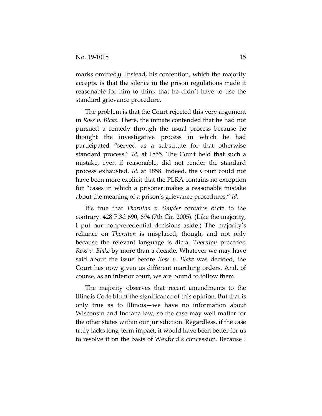marks omitted)). Instead, his contention, which the majority accepts, is that the silence in the prison regulations made it reasonable for him to think that he didn't have to use the standard grievance procedure.

The problem is that the Court rejected this very argument in *Ross v. Blake*. There, the inmate contended that he had not pursued a remedy through the usual process because he thought the investigative process in which he had participated "served as a substitute for that otherwise standard process." *Id.* at 1855. The Court held that such a mistake, even if reasonable, did not render the standard process exhausted. *Id.* at 1858. Indeed, the Court could not have been more explicit that the PLRA contains no exception for "cases in which a prisoner makes a reasonable mistake about the meaning of a prison's grievance procedures." *Id.*

It's true that *Thornton v. Snyder* contains dicta to the contrary. 428 F.3d 690, 694 (7th Cir. 2005). (Like the majority, I put our nonprecedential decisions aside.) The majority's reliance on *Thornton* is misplaced, though, and not only because the relevant language is dicta. *Thornton* preceded *Ross v. Blake* by more than a decade. Whatever we may have said about the issue before *Ross v. Blake* was decided, the Court has now given us different marching orders. And, of course, as an inferior court, we are bound to follow them.

The majority observes that recent amendments to the Illinois Code blunt the significance of this opinion. But that is only true as to Illinois—we have no information about Wisconsin and Indiana law, so the case may well matter for the other states within our jurisdiction. Regardless, if the case truly lacks long-term impact, it would have been better for us to resolve it on the basis of Wexford's concession. Because I